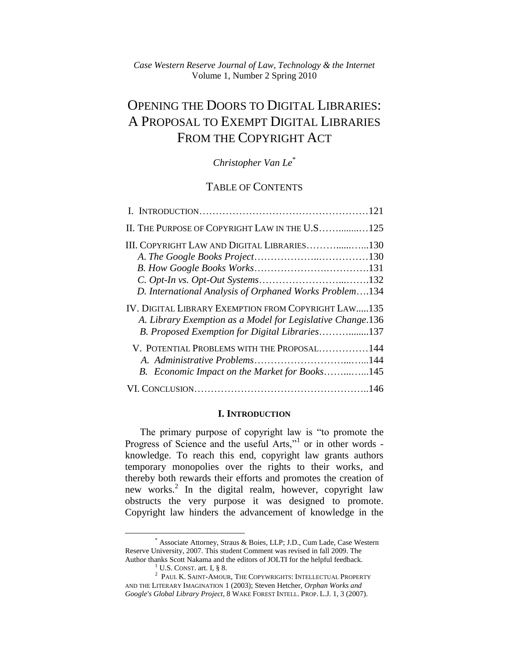# OPENING THE DOORS TO DIGITAL LIBRARIES: A PROPOSAL TO EXEMPT DIGITAL LIBRARIES FROM THE COPYRIGHT ACT

## *Christopher Van Le*\*

## TABLE OF CONTENTS

| II. THE PURPOSE OF COPYRIGHT LAW IN THE U.S 125            |  |
|------------------------------------------------------------|--|
| III. COPYRIGHT LAW AND DIGITAL LIBRARIES130                |  |
|                                                            |  |
|                                                            |  |
|                                                            |  |
| D. International Analysis of Orphaned Works Problem134     |  |
| IV. DIGITAL LIBRARY EXEMPTION FROM COPYRIGHT LAW135        |  |
| A. Library Exemption as a Model for Legislative Change.136 |  |
| B. Proposed Exemption for Digital Libraries137             |  |
| V. POTENTIAL PROBLEMS WITH THE PROPOSAL144                 |  |
|                                                            |  |
| B. Economic Impact on the Market for Books145              |  |
|                                                            |  |
|                                                            |  |

### **I. INTRODUCTION**

The primary purpose of copyright law is "to promote the Progress of Science and the useful Arts,"<sup>1</sup> or in other words knowledge. To reach this end, copyright law grants authors temporary monopolies over the rights to their works, and thereby both rewards their efforts and promotes the creation of new works.<sup>2</sup> In the digital realm, however, copyright law obstructs the very purpose it was designed to promote. Copyright law hinders the advancement of knowledge in the

<sup>\*</sup> Associate Attorney, Straus & Boies, LLP; J.D., Cum Lade, Case Western Reserve University, 2007. This student Comment was revised in fall 2009. The Author thanks Scott Nakama and the editors of JOLTI for the helpful feedback.

 $<sup>1</sup>$  U.S. CONST. art. I,  $\&$  8.</sup>

<sup>2</sup> PAUL K. SAINT-AMOUR, THE COPYWRIGHTS: INTELLECTUAL PROPERTY AND THE LITERARY IMAGINATION 1 (2003); Steven Hetcher, *Orphan Works and Google's Global Library Project*, 8 WAKE FOREST INTELL. PROP. L.J. 1, 3 (2007).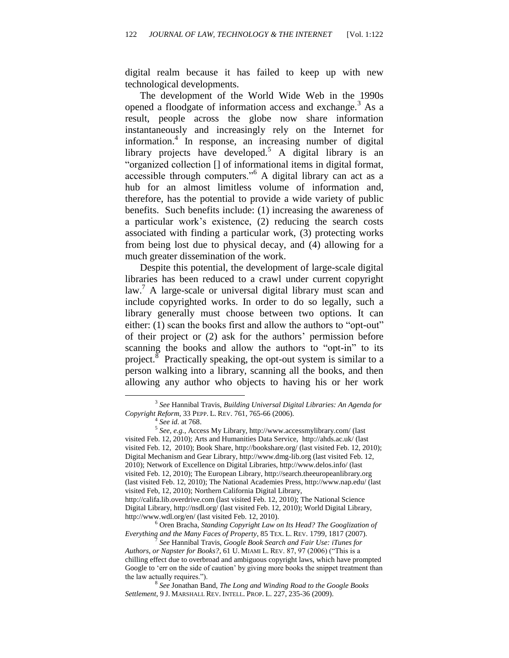digital realm because it has failed to keep up with new technological developments.

The development of the World Wide Web in the 1990s opened a floodgate of information access and exchange.<sup>3</sup> As a result, people across the globe now share information instantaneously and increasingly rely on the Internet for information.<sup>4</sup> In response, an increasing number of digital library projects have developed.<sup>5</sup> A digital library is an "organized collection [] of informational items in digital format, accessible through computers.<sup> $16$ </sup> A digital library can act as a hub for an almost limitless volume of information and, therefore, has the potential to provide a wide variety of public benefits. Such benefits include: (1) increasing the awareness of a particular work's existence, (2) reducing the search costs associated with finding a particular work, (3) protecting works from being lost due to physical decay, and (4) allowing for a much greater dissemination of the work.

Despite this potential, the development of large-scale digital libraries has been reduced to a crawl under current copyright law.<sup>7</sup> A large-scale or universal digital library must scan and include copyrighted works. In order to do so legally, such a library generally must choose between two options. It can either:  $(1)$  scan the books first and allow the authors to "opt-out" of their project or (2) ask for the authors' permission before scanning the books and allow the authors to "opt-in" to its project.<sup>8</sup> Practically speaking, the opt-out system is similar to a person walking into a library, scanning all the books, and then allowing any author who objects to having his or her work

 $\overline{a}$ 

http://califa.lib.overdrive.com (last visited Feb. 12, 2010); The National Science Digital Library, http://nsdl.org/ (last visited Feb. 12, 2010); World Digital Library, http://www.wdl.org/en/ (last visited Feb. 12, 2010).

<sup>6</sup> Oren Bracha, *Standing Copyright Law on Its Head? The Googlization of Everything and the Many Faces of Property*, 85 TEX. L. REV. 1799, 1817 (2007).

<sup>3</sup> *See* Hannibal Travis, *Building Universal Digital Libraries: An Agenda for Copyright Reform*, 33 PEPP. L. REV. 761, 765-66 (2006).

<sup>4</sup> *See id.* at 768.

<sup>5</sup> *See, e.g.*, Access My Library, http://www.accessmylibrary.com/ (last visited Feb. 12, 2010); Arts and Humanities Data Service, http://ahds.ac.uk/ (last visited Feb. 12, 2010); Book Share, http://bookshare.org/ (last visited Feb. 12, 2010); Digital Mechanism and Gear Library, http://www.dmg-lib.org (last visited Feb. 12, 2010); Network of Excellence on Digital Libraries, http://www.delos.info/ (last visited Feb. 12, 2010); The European Library, http://search.theeuropeanlibrary.org (last visited Feb. 12, 2010); The National Academies Press, http://www.nap.edu/ (last visited Feb, 12, 2010); Northern California Digital Library,

*See* Hannibal Travis, *Google Book Search and Fair Use: iTunes for Authors, or Napster for Books?,* 61 U. MIAMI L. REV. 87, 97 (2006) ("This is a chilling effect due to overbroad and ambiguous copyright laws, which have prompted Google to 'err on the side of caution' by giving more books the snippet treatment than the law actually requires.").

<sup>8</sup> *See* Jonathan Band, *The Long and Winding Road to the Google Books Settlement*, 9 J. MARSHALL REV. INTELL. PROP. L. 227, 235-36 (2009).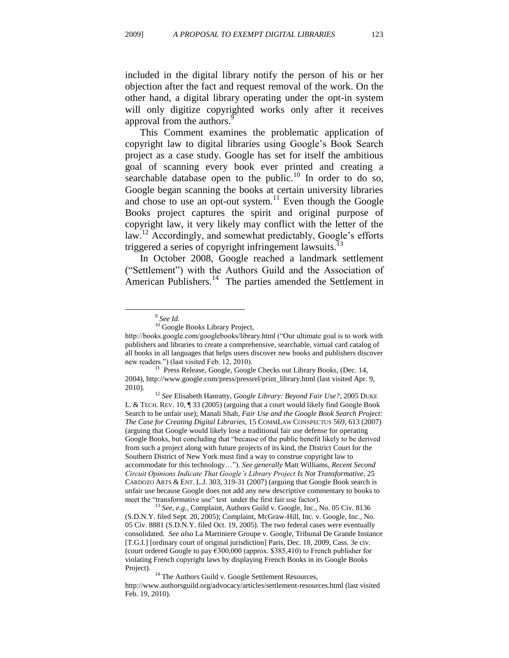included in the digital library notify the person of his or her objection after the fact and request removal of the work. On the other hand, a digital library operating under the opt-in system will only digitize copyrighted works only after it receives approval from the authors.<sup>9</sup>

This Comment examines the problematic application of copyright law to digital libraries using Google's Book Search project as a case study. Google has set for itself the ambitious goal of scanning every book ever printed and creating a searchable database open to the public. $10$  In order to do so, Google began scanning the books at certain university libraries and chose to use an opt-out system. $11$  Even though the Google Books project captures the spirit and original purpose of copyright law, it very likely may conflict with the letter of the law.<sup>12</sup> Accordingly, and somewhat predictably, Google's efforts triggered a series of copyright infringement lawsuits.<sup>13</sup>

In October 2008, Google reached a landmark settlement (―Settlement‖) with the Authors Guild and the Association of American Publishers.<sup>14</sup> The parties amended the Settlement in

<sup>9</sup> *See Id.* 

<sup>&</sup>lt;sup>10</sup> Google Books Library Project,

http://books.google.com/googlebooks/library.html ("Our ultimate goal is to work with publishers and libraries to create a comprehensive, searchable, virtual card catalog of all books in all languages that helps users discover new books and publishers discover new readers.") (last visited Feb. 12, 2010).

<sup>&</sup>lt;sup>11</sup> Press Release, Google, Google Checks out Library Books, (Dec. 14, 2004), http://www.google.com/press/pressrel/print\_library.html (last visited Apr. 9, 2010).

<sup>12</sup> *See* Elisabeth Hanratty*, Google Library: Beyond Fair Use?*, 2005 DUKE L. & TECH. REV. 10, ¶ 33 (2005) (arguing that a court would likely find Google Book Search to be unfair use); Manali Shah, *Fair Use and the Google Book Search Project: The Case for Creating Digital Libraries,* 15 COMMLAW CONSPECTUS 569, 613 (2007) (arguing that Google would likely lose a traditional fair use defense for operating Google Books, but concluding that "because of the public benefit likely to be derived from such a project along with future projects of its kind, the District Court for the Southern District of New York must find a way to construe copyright law to accommodate for this technology…‖). *See generally* Matt Williams, *Recent Second Circuit Opinions Indicate That Google's Library Project Is Not Transformative*, 25 CARDOZO ARTS & ENT. L.J. 303, 319-31 (2007) (arguing that Google Book search is unfair use because Google does not add any new descriptive commentary to books to meet the "transformative use" test under the first fair use factor).

<sup>&</sup>lt;sup>13</sup> See, e.g., Complaint, Authors Guild v. Google, Inc., No. 05 Civ. 8136 (S.D.N.Y. filed Sept. 20, 2005); Complaint, McGraw-Hill, Inc. v. Google, Inc., No. 05 Civ. 8881 (S.D.N.Y. filed Oct. 19, 2005). The two federal cases were eventually consolidated*. See also* La Martiniere Groupe v. Google, Tribunal De Grande Instance [T.G.I.] [ordinary court of original jurisdiction] Paris, Dec. 18, 2009, Cass. 3e civ. (court ordered Google to pay  $6300,000$  (approx. \$385,410) to French publisher for violating French copyright laws by displaying French Books in its Google Books Project).

<sup>&</sup>lt;sup>14</sup> The Authors Guild v. Google Settlement Resources, http://www.authorsguild.org/advocacy/articles/settlement-resources.html (last visited Feb. 19, 2010).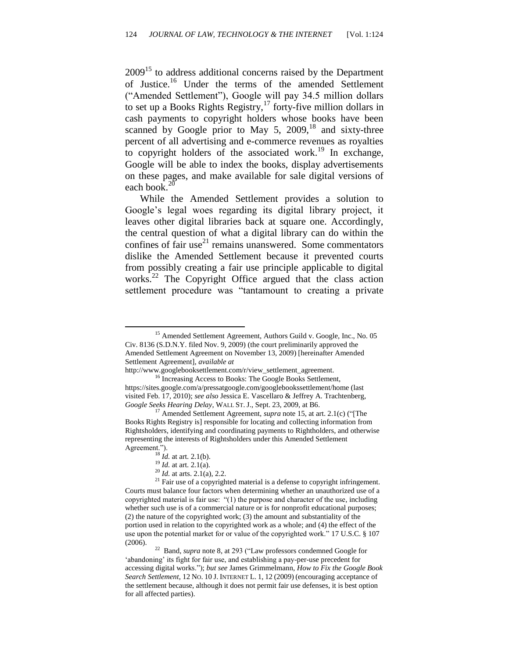$2009$ <sup>15</sup> to address additional concerns raised by the Department of Justice.<sup>16</sup> Under the terms of the amended Settlement ("Amended Settlement"), Google will pay 34.5 million dollars to set up a Books Rights Registry,<sup>17</sup> forty-five million dollars in cash payments to copyright holders whose books have been scanned by Google prior to May 5,  $2009$ ,<sup>18</sup> and sixty-three percent of all advertising and e-commerce revenues as royalties to copyright holders of the associated work.<sup>19</sup> In exchange, Google will be able to index the books, display advertisements on these pages, and make available for sale digital versions of each book.<sup>20</sup>

While the Amended Settlement provides a solution to Google's legal woes regarding its digital library project, it leaves other digital libraries back at square one. Accordingly, the central question of what a digital library can do within the confines of fair use $^{21}$  remains unanswered. Some commentators dislike the Amended Settlement because it prevented courts from possibly creating a fair use principle applicable to digital works.<sup>22</sup> The Copyright Office argued that the class action settlement procedure was "tantamount to creating a private

<sup>&</sup>lt;sup>15</sup> Amended Settlement Agreement, Authors Guild v. Google, Inc., No. 05 Civ. 8136 (S.D.N.Y. filed Nov. 9, 2009) (the court preliminarily approved the Amended Settlement Agreement on November 13, 2009) [hereinafter Amended Settlement Agreement], *available at* 

http://www.googlebooksettlement.com/r/view\_settlement\_agreement.

<sup>&</sup>lt;sup>16</sup> Increasing Access to Books: The Google Books Settlement, https://sites.google.com/a/pressatgoogle.com/googlebookssettlement/home (last visited Feb. 17, 2010); *see also* Jessica E. Vascellaro & Jeffrey A. Trachtenberg, *Google Seeks Hearing Delay*, WALL ST. J., Sept. 23, 2009, at B6.

<sup>&</sup>lt;sup>17</sup> Amended Settlement Agreement, *supra* note 15, at art. 2.1(c) ("The Books Rights Registry is] responsible for locating and collecting information from Rightsholders, identifying and coordinating payments to Rightholders, and otherwise representing the interests of Rightsholders under this Amended Settlement Agreement.").

 $\frac{18}{18}$  *Id.* at art. 2.1(b).

<sup>19</sup> *Id.* at art. 2.1(a).

<sup>20</sup> *Id.* at arts. 2.1(a), 2.2.

 $21$  Fair use of a copyrighted material is a defense to copyright infringement. Courts must balance four factors when determining whether an unauthorized use of a copyrighted material is fair use:  $(1)$  the purpose and character of the use, including whether such use is of a commercial nature or is for nonprofit educational purposes; (2) the nature of the copyrighted work; (3) the amount and substantiality of the portion used in relation to the copyrighted work as a whole; and (4) the effect of the use upon the potential market for or value of the copyrighted work." 17 U.S.C. § 107 (2006).

<sup>22</sup> Band, *supra* note 8, at 293 ("Law professors condemned Google for 'abandoning' its fight for fair use, and establishing a pay-per-use precedent for accessing digital works.‖); *but see* James Grimmelmann, *How to Fix the Google Book Search Settlement*, 12 NO. 10 J. INTERNET L. 1, 12 (2009) (encouraging acceptance of the settlement because, although it does not permit fair use defenses, it is best option for all affected parties).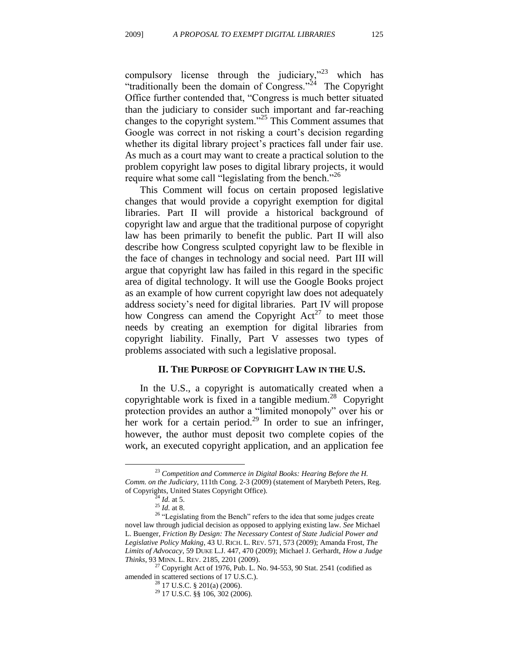compulsory license through the judiciary, $n^{23}$  which has "traditionally been the domain of Congress."<sup>24</sup> The Copyright Office further contended that, "Congress is much better situated than the judiciary to consider such important and far-reaching changes to the copyright system."<sup>25</sup> This Comment assumes that Google was correct in not risking a court's decision regarding whether its digital library project's practices fall under fair use. As much as a court may want to create a practical solution to the problem copyright law poses to digital library projects, it would require what some call "legislating from the bench."<sup>26</sup>

This Comment will focus on certain proposed legislative changes that would provide a copyright exemption for digital libraries. Part II will provide a historical background of copyright law and argue that the traditional purpose of copyright law has been primarily to benefit the public. Part II will also describe how Congress sculpted copyright law to be flexible in the face of changes in technology and social need. Part III will argue that copyright law has failed in this regard in the specific area of digital technology. It will use the Google Books project as an example of how current copyright law does not adequately address society's need for digital libraries. Part IV will propose how Congress can amend the Copyright  $Act^{27}$  to meet those needs by creating an exemption for digital libraries from copyright liability. Finally, Part V assesses two types of problems associated with such a legislative proposal.

#### **II. THE PURPOSE OF COPYRIGHT LAW IN THE U.S.**

In the U.S., a copyright is automatically created when a copyrightable work is fixed in a tangible medium.<sup>28</sup> Copyright protection provides an author a "limited monopoly" over his or her work for a certain period.<sup>29</sup> In order to sue an infringer, however, the author must deposit two complete copies of the work, an executed copyright application, and an application fee

<sup>&</sup>lt;sup>23</sup> Competition and Commerce in Digital Books: Hearing Before the H. *Comm. on the Judiciary*, 111th Cong. 2-3 (2009) (statement of Marybeth Peters, Reg. of Copyrights, United States Copyright Office).

 $^{24}$  *Id.* at 5.

<sup>25</sup> *Id.* at 8.

 $26$  "Legislating from the Bench" refers to the idea that some judges create novel law through judicial decision as opposed to applying existing law. *See* Michael L. Buenger, *Friction By Design: The Necessary Contest of State Judicial Power and Legislative Policy Making*, 43 U. RICH. L. REV. 571, 573 (2009); Amanda Frost, *The Limits of Advocacy*, 59 DUKE L.J. 447, 470 (2009); Michael J. Gerhardt, *How a Judge Thinks*, 93 MINN. L. REV. 2185, 2201 (2009).

 $27$  Copyright Act of 1976, Pub. L. No. 94-553, 90 Stat. 2541 (codified as amended in scattered sections of 17 U.S.C.).

 $^{28}$  17 U.S.C. § 201(a) (2006).

<sup>29</sup> 17 U.S.C. §§ 106, 302 (2006).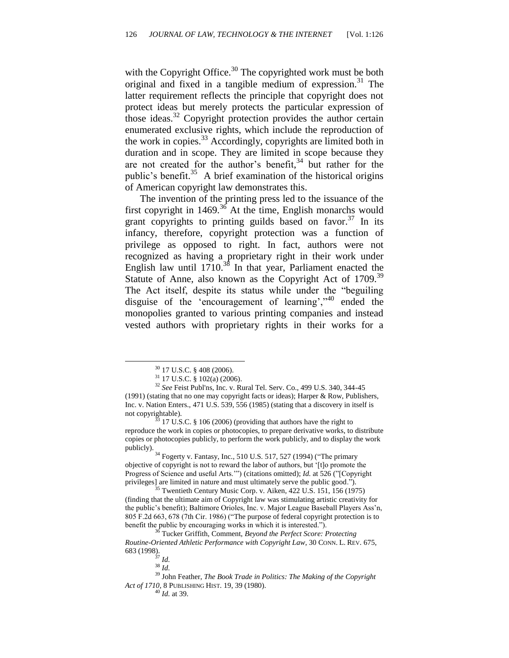with the Copyright Office. $30$  The copyrighted work must be both original and fixed in a tangible medium of expression.<sup>31</sup> The latter requirement reflects the principle that copyright does not protect ideas but merely protects the particular expression of those ideas.<sup>32</sup> Copyright protection provides the author certain enumerated exclusive rights, which include the reproduction of the work in copies.<sup>33</sup> Accordingly, copyrights are limited both in duration and in scope. They are limited in scope because they are not created for the author's benefit, <sup>34</sup> but rather for the public's benefit.<sup>35</sup> A brief examination of the historical origins of American copyright law demonstrates this.

The invention of the printing press led to the issuance of the first copyright in  $1469$ .<sup>36</sup> At the time, English monarchs would grant copyrights to printing guilds based on favor.<sup>37</sup> In its infancy, therefore, copyright protection was a function of privilege as opposed to right. In fact, authors were not recognized as having a proprietary right in their work under English law until  $1710^{38}$  In that year, Parliament enacted the Statute of Anne, also known as the Copyright Act of 1709.<sup>39</sup> The Act itself, despite its status while under the "beguiling" disguise of the 'encouragement of learning', $\cdot$ <sup>40</sup> ended the monopolies granted to various printing companies and instead vested authors with proprietary rights in their works for a

 $33$  17 U.S.C. § 106 (2006) (providing that authors have the right to reproduce the work in copies or photocopies, to prepare derivative works, to distribute copies or photocopies publicly, to perform the work publicly, and to display the work publicly).

 $34$  Fogerty v. Fantasy, Inc., 510 U.S. 517, 527 (1994) ("The primary objective of copyright is not to reward the labor of authors, but ‗[t]o promote the Progress of Science and useful Arts."") (citations omitted); *Id.* at 526 ("[Copyright privileges] are limited in nature and must ultimately serve the public good.").

<sup>35</sup> Twentieth Century Music Corp. v. Aiken, 422 U.S. 151, 156 (1975) (finding that the ultimate aim of Copyright law was stimulating artistic creativity for the public's benefit); Baltimore Orioles, Inc. v. Major League Baseball Players Ass'n, 805 F.2d 663, 678 (7th Cir. 1986) ("The purpose of federal copyright protection is to benefit the public by encouraging works in which it is interested.").

<sup>30</sup> 17 U.S.C. § 408 (2006).

 $31$  17 U.S.C. § 102(a) (2006).

<sup>32</sup> *See* Feist Publ'ns, Inc. v. Rural Tel. Serv. Co., 499 U.S. 340, 344-45 (1991) (stating that no one may copyright facts or ideas); Harper & Row, Publishers, Inc. v. Nation Enters., 471 U.S. 539, 556 (1985) (stating that a discovery in itself is not copyrightable).

<sup>36</sup> Tucker Griffith, Comment, *Beyond the Perfect Score: Protecting Routine-Oriented Athletic Performance with Copyright Law*, 30 CONN. L. REV. 675, 683 (1998).

<sup>37</sup> *Id.*

<sup>38</sup> *Id.*

<sup>39</sup> John Feather, *The Book Trade in Politics: The Making of the Copyright Act of 1710,* 8 PUBLISHING HIST. 19, 39 (1980).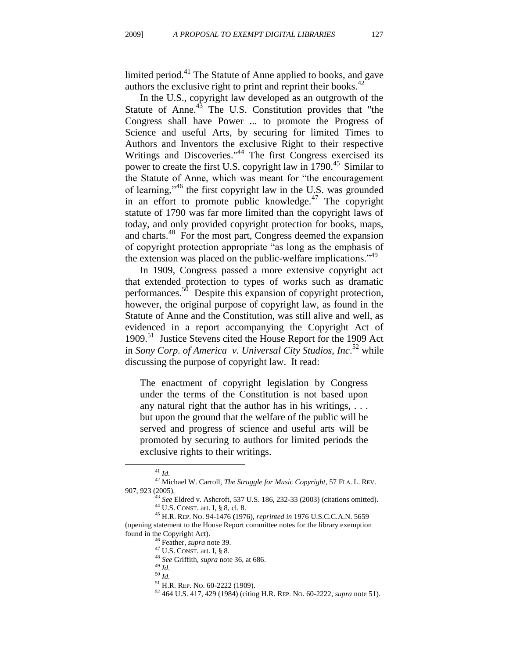limited period.<sup>41</sup> The Statute of Anne applied to books, and gave authors the exclusive right to print and reprint their books.<sup>42</sup>

In the U.S., copyright law developed as an outgrowth of the Statute of Anne.<sup>43</sup> The U.S. Constitution provides that "the Congress shall have Power ... to promote the Progress of Science and useful Arts, by securing for limited Times to Authors and Inventors the exclusive Right to their respective Writings and Discoveries."<sup>44</sup> The first Congress exercised its power to create the first U.S. copyright law in 1790.<sup>45</sup> Similar to the Statute of Anne, which was meant for "the encouragement of learning,"<sup>46</sup> the first copyright law in the U.S. was grounded in an effort to promote public knowledge. $47$  The copyright statute of 1790 was far more limited than the copyright laws of today, and only provided copyright protection for books, maps, and charts.<sup>48</sup> For the most part, Congress deemed the expansion of copyright protection appropriate "as long as the emphasis of the extension was placed on the public-welfare implications.<sup>149</sup>

In 1909, Congress passed a more extensive copyright act that extended protection to types of works such as dramatic performances.<sup>50</sup> Despite this expansion of copyright protection, however, the original purpose of copyright law, as found in the Statute of Anne and the Constitution, was still alive and well, as evidenced in a report accompanying the Copyright Act of 1909.<sup>51</sup> Justice Stevens cited the House Report for the 1909 Act in *Sony Corp. of America v. Universal City Studios, Inc*. <sup>52</sup> while discussing the purpose of copyright law. It read:

The enactment of copyright legislation by Congress under the terms of the Constitution is not based upon any natural right that the author has in his writings, . . . but upon the ground that the welfare of the public will be served and progress of science and useful arts will be promoted by securing to authors for limited periods the exclusive rights to their writings.

<sup>41</sup> *Id.*

<sup>42</sup> Michael W. Carroll, *The Struggle for Music Copyright*, 57 FLA. L. REV. 907, 923 (2005).

<sup>43</sup> *See* Eldred v. Ashcroft, 537 U.S. 186, 232-33 (2003) (citations omitted). <sup>44</sup> U.S. CONST. art. I, § 8, cl. 8. <sup>45</sup> H.R. REP. NO. 94-1476 **(**1976), *reprinted in* 1976 U.S.C.C.A.N. 5659

<sup>(</sup>opening statement to the House Report committee notes for the library exemption found in the Copyright Act).

<sup>46</sup> Feather, *supra* note 39.

 $47$  U.S. CONST. art. I, § 8.

<sup>48</sup> *See* Griffith, *supra* note 36, at 686.

<sup>49</sup> *Id.*

<sup>50</sup> *Id.*

<sup>51</sup> H.R. REP. NO. 60-2222 (1909).

<sup>52</sup> 464 U.S. 417, 429 (1984) (citing H.R. REP. NO. 60-2222, *supra* note 51).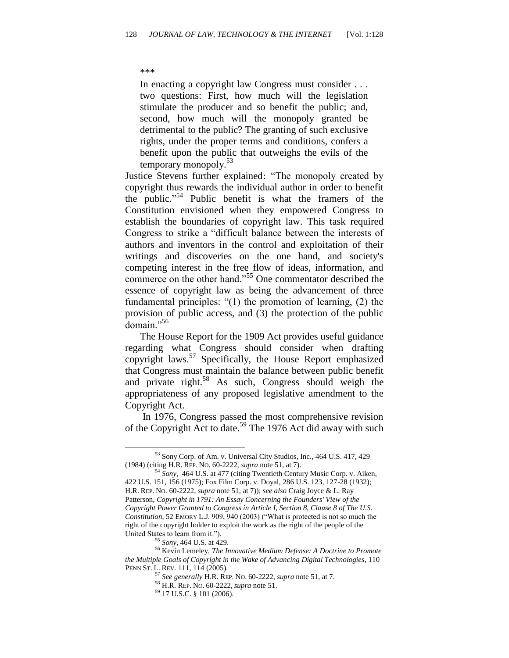#### \*\*\*

In enacting a copyright law Congress must consider . . . two questions: First, how much will the legislation stimulate the producer and so benefit the public; and, second, how much will the monopoly granted be detrimental to the public? The granting of such exclusive rights, under the proper terms and conditions, confers a benefit upon the public that outweighs the evils of the temporary monopoly.<sup>53</sup>

Justice Stevens further explained: "The monopoly created by copyright thus rewards the individual author in order to benefit the public."<sup>54</sup> Public benefit is what the framers of the Constitution envisioned when they empowered Congress to establish the boundaries of copyright law. This task required Congress to strike a "difficult balance between the interests of authors and inventors in the control and exploitation of their writings and discoveries on the one hand, and society's competing interest in the free flow of ideas, information, and commerce on the other hand.<sup>55</sup> One commentator described the essence of copyright law as being the advancement of three fundamental principles:  $(1)$  the promotion of learning,  $(2)$  the provision of public access, and (3) the protection of the public domain." $56$ 

The House Report for the 1909 Act provides useful guidance regarding what Congress should consider when drafting copyright laws.<sup>57</sup> Specifically, the House Report emphasized that Congress must maintain the balance between public benefit and private right.<sup>58</sup> As such, Congress should weigh the appropriateness of any proposed legislative amendment to the Copyright Act.

In 1976, Congress passed the most comprehensive revision of the Copyright Act to date.<sup>59</sup> The 1976 Act did away with such

<sup>53</sup> Sony Corp. of Am. v. Universal City Studios, Inc., 464 U.S. 417, 429 (1984) (citing H.R. REP. NO. 60-2222, *supra* note 51, at 7).

<sup>54</sup> *Sony*, 464 U.S. at 477 (citing Twentieth Century Music Corp. v. Aiken, 422 U.S. 151, 156 (1975); Fox Film Corp. v. Doyal, 286 U.S. 123, 127-28 (1932); H.R. REP. NO. 60-2222, *supra* note 51, at 7)); *see also* Craig Joyce & L. Ray Patterson, *Copyright in 1791: An Essay Concerning the Founders' View of the Copyright Power Granted to Congress in Article I, Section 8, Clause 8 of The U.S. Constitution*, 52 EMORY L.J. 909, 940 (2003) ("What is protected is not so much the right of the copyright holder to exploit the work as the right of the people of the United States to learn from it.").

<sup>55</sup> *Sony*, 464 U.S. at 429.

<sup>56</sup> Kevin Lemeley, *The Innovative Medium Defense: A Doctrine to Promote the Multiple Goals of Copyright in the Wake of Advancing Digital Technologies*, 110 PENN ST. L. REV. 111, 114 (2005).

<sup>57</sup> *See generally* H.R. REP. NO. 60-2222, *supra* note 51, at 7.

<sup>58</sup> H.R. REP. NO. 60-2222, *supra* note 51.

<sup>59</sup> 17 U.S.C. § 101 (2006).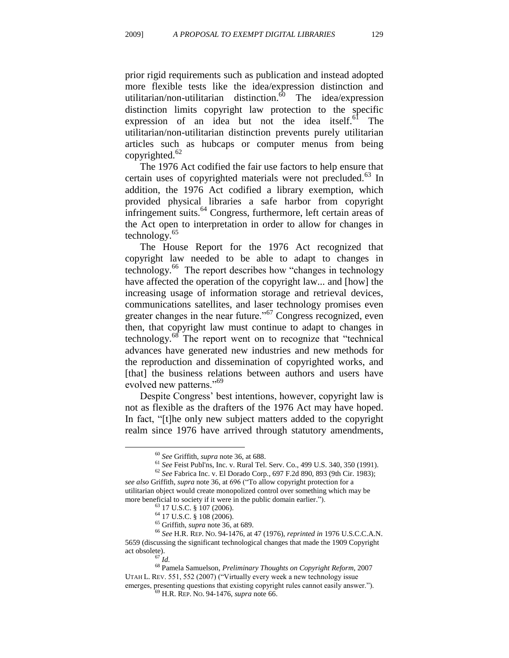prior rigid requirements such as publication and instead adopted more flexible tests like the idea/expression distinction and utilitarian/non-utilitarian distinction.<sup>60</sup> The idea/expression distinction limits copyright law protection to the specific expression of an idea but not the idea itself. $61$  The utilitarian/non-utilitarian distinction prevents purely utilitarian articles such as hubcaps or computer menus from being copyrighted. $62$ 

The 1976 Act codified the fair use factors to help ensure that certain uses of copyrighted materials were not precluded.<sup>63</sup> In addition, the 1976 Act codified a library exemption, which provided physical libraries a safe harbor from copyright infringement suits.<sup>64</sup> Congress, furthermore, left certain areas of the Act open to interpretation in order to allow for changes in technology. $65$ 

The House Report for the 1976 Act recognized that copyright law needed to be able to adapt to changes in technology.<sup>66</sup> The report describes how "changes in technology have affected the operation of the copyright law... and [how] the increasing usage of information storage and retrieval devices, communications satellites, and laser technology promises even greater changes in the near future.<sup> $567$ </sup> Congress recognized, even then, that copyright law must continue to adapt to changes in technology. $68$  The report went on to recognize that "technical advances have generated new industries and new methods for the reproduction and dissemination of copyrighted works, and [that] the business relations between authors and users have evolved new patterns."<sup>69</sup>

Despite Congress' best intentions, however, copyright law is not as flexible as the drafters of the 1976 Act may have hoped. In fact, "[t]he only new subject matters added to the copyright realm since 1976 have arrived through statutory amendments,

<sup>60</sup> *See* Griffith, *supra* note 36, at 688.

<sup>61</sup> *See* Feist Publ'ns, Inc. v. Rural Tel. Serv. Co., 499 U.S. 340, 350 (1991).

<sup>62</sup> *See* Fabrica Inc. v. El Dorado Corp., 697 F.2d 890, 893 (9th Cir. 1983); *see also* Griffith, *supra* note 36, at 696 ("To allow copyright protection for a utilitarian object would create monopolized control over something which may be more beneficial to society if it were in the public domain earlier.").

<sup>63</sup> 17 U.S.C. § 107 (2006).

<sup>64</sup> 17 U.S.C. § 108 (2006).

<sup>65</sup> Griffith, *supra* note 36, at 689.

<sup>66</sup> *See* H.R. REP. NO. 94-1476, at 47 (1976), *reprinted in* 1976 U.S.C.C.A.N. 5659 (discussing the significant technological changes that made the 1909 Copyright act obsolete).

<sup>67</sup> *Id.*

<sup>68</sup> Pamela Samuelson, *Preliminary Thoughts on Copyright Reform*, 2007 UTAH L. REV. 551, 552 (2007) ("Virtually every week a new technology issue emerges, presenting questions that existing copyright rules cannot easily answer."). <sup>69</sup> H.R. REP. NO. 94-1476, *supra* note 66.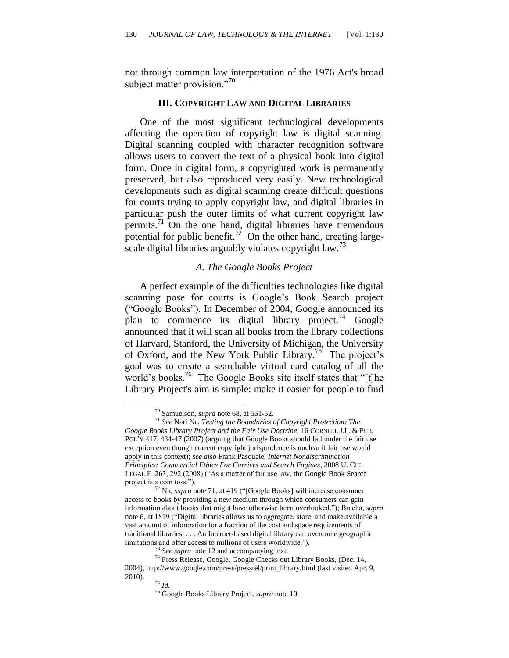not through common law interpretation of the 1976 Act's broad subject matter provision."<sup>70</sup>

#### **III. COPYRIGHT LAW AND DIGITAL LIBRARIES**

One of the most significant technological developments affecting the operation of copyright law is digital scanning. Digital scanning coupled with character recognition software allows users to convert the text of a physical book into digital form. Once in digital form, a copyrighted work is permanently preserved, but also reproduced very easily. New technological developments such as digital scanning create difficult questions for courts trying to apply copyright law, and digital libraries in particular push the outer limits of what current copyright law permits. $\frac{71}{10}$  On the one hand, digital libraries have tremendous potential for public benefit.<sup>72</sup> On the other hand, creating largescale digital libraries arguably violates copyright law.<sup>73</sup>

#### *A. The Google Books Project*

A perfect example of the difficulties technologies like digital scanning pose for courts is Google's Book Search project ("Google Books"). In December of 2004, Google announced its plan to commence its digital library project.<sup>74</sup> Google announced that it will scan all books from the library collections of Harvard, Stanford, the University of Michigan, the University of Oxford, and the New York Public Library.<sup>75</sup> The project's goal was to create a searchable virtual card catalog of all the world's books.<sup>76</sup> The Google Books site itself states that "[t]he Library Project's aim is simple: make it easier for people to find

<sup>70</sup> Samuelson, *supra* note 68, at 551-52.

<sup>71</sup> *See* Nari Na, *Testing the Boundaries of Copyright Protection: The Google Books Library Project and the Fair Use Doctrine*, 16 CORNELL J.L. & PUB. POL'Y 417, 434-47 (2007) (arguing that Google Books should fall under the fair use exception even though current copyright jurisprudence is unclear if fair use would apply in this context); *see also* Frank Pasquale, *Internet Nondiscrimination Principles: Commercial Ethics For Carriers and Search Engines*, 2008 U. CHI. LEGAL F. 263, 292 (2008) ("As a matter of fair use law, the Google Book Search project is a coin toss.").

<sup>&</sup>lt;sup>72</sup> Na, *supra* note 71, at 419 ("[Google Books] will increase consumer access to books by providing a new medium through which consumers can gain information about books that might have otherwise been overlooked.‖); Bracha, *supra* note 6, at 1819 ("Digital libraries allows us to aggregate, store, and make available a vast amount of information for a fraction of the cost and space requirements of traditional libraries. . . . An Internet-based digital library can overcome geographic limitations and offer access to millions of users worldwide.").

<sup>&</sup>lt;sup>73</sup> *See supra* note 12 and accompanying text.

<sup>74</sup> Press Release, Google, Google Checks out Library Books, (Dec. 14, 2004), http://www.google.com/press/pressrel/print\_library.html (last visited Apr. 9, 2010).

<sup>75</sup> *Id.*

<sup>76</sup> Google Books Library Project, *supra* note 10.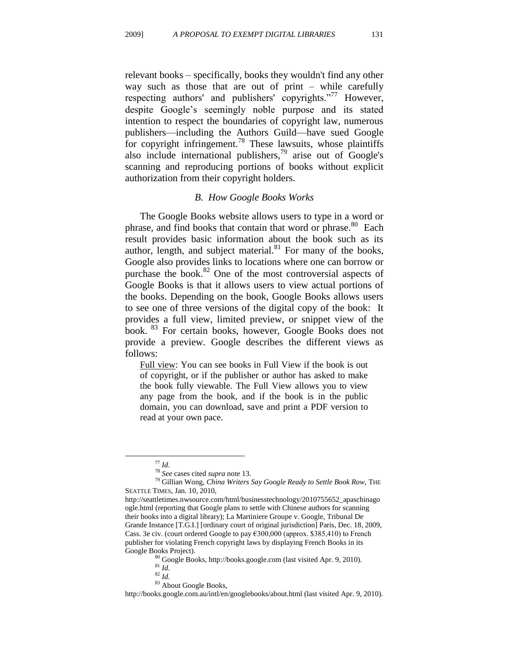relevant books – specifically, books they wouldn't find any other way such as those that are out of print – while carefully respecting authors' and publishers' copyrights."<sup>77</sup> However, despite Google's seemingly noble purpose and its stated intention to respect the boundaries of copyright law, numerous publishers—including the Authors Guild—have sued Google for copyright infringement.<sup>78</sup> These lawsuits, whose plaintiffs also include international publishers,<sup>79</sup> arise out of Google's scanning and reproducing portions of books without explicit authorization from their copyright holders.

#### *B. How Google Books Works*

The Google Books website allows users to type in a word or phrase, and find books that contain that word or phrase.<sup>80</sup> Each result provides basic information about the book such as its author, length, and subject material. $81$  For many of the books, Google also provides links to locations where one can borrow or purchase the book. $82$  One of the most controversial aspects of Google Books is that it allows users to view actual portions of the books. Depending on the book, Google Books allows users to see one of three versions of the digital copy of the book: It provides a full view, limited preview, or snippet view of the book. <sup>83</sup> For certain books, however, Google Books does not provide a preview. Google describes the different views as follows:

Full view: You can see books in Full View if the book is out of copyright, or if the publisher or author has asked to make the book fully viewable. The Full View allows you to view any page from the book, and if the book is in the public domain, you can download, save and print a PDF version to read at your own pace.

 $\overline{a}$ 

<sup>80</sup> Google Books, http://books.google.com (last visited Apr. 9, 2010).

http://books.google.com.au/intl/en/googlebooks/about.html (last visited Apr. 9, 2010).

<sup>77</sup> *Id.*

<sup>78</sup> *See* cases cited *supra* note 13.

<sup>79</sup> Gillian Wong, *China Writers Say Google Ready to Settle Book Row,* THE SEATTLE TIMES, Jan. 10, 2010,

http://seattletimes.nwsource.com/html/businesstechnology/2010755652\_apaschinago ogle.html (reporting that Google plans to settle with Chinese authors for scanning their books into a digital library); La Martiniere Groupe v. Google, Tribunal De Grande Instance [T.G.I.] [ordinary court of original jurisdiction] Paris, Dec. 18, 2009, Cass. 3e civ. (court ordered Google to pay €300,000 (approx. \$385,410) to French publisher for violating French copyright laws by displaying French Books in its Google Books Project).

<sup>81</sup> *Id.*

<sup>82</sup> *Id.*

 $\,$  83 About Google Books,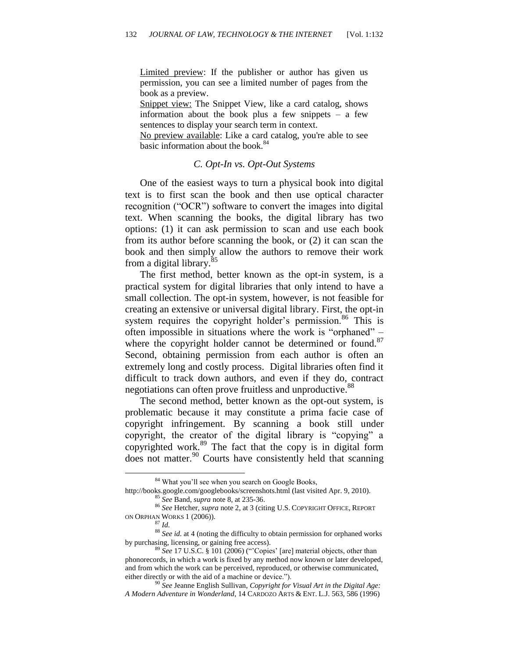Limited preview: If the publisher or author has given us permission, you can see a limited number of pages from the book as a preview.

Snippet view: The Snippet View, like a card catalog, shows information about the book plus a few snippets – a few sentences to display your search term in context.

No preview available: Like a card catalog, you're able to see basic information about the book.<sup>84</sup>

#### *C. Opt-In vs. Opt-Out Systems*

One of the easiest ways to turn a physical book into digital text is to first scan the book and then use optical character recognition ("OCR") software to convert the images into digital text. When scanning the books, the digital library has two options: (1) it can ask permission to scan and use each book from its author before scanning the book, or (2) it can scan the book and then simply allow the authors to remove their work from a digital library.<sup>85</sup>

The first method, better known as the opt-in system, is a practical system for digital libraries that only intend to have a small collection. The opt-in system, however, is not feasible for creating an extensive or universal digital library. First, the opt-in system requires the copyright holder's permission.<sup>86</sup> This is often impossible in situations where the work is "orphaned" – where the copyright holder cannot be determined or found.<sup>87</sup> Second, obtaining permission from each author is often an extremely long and costly process. Digital libraries often find it difficult to track down authors, and even if they do, contract negotiations can often prove fruitless and unproductive.<sup>88</sup>

The second method, better known as the opt-out system, is problematic because it may constitute a prima facie case of copyright infringement. By scanning a book still under copyright, the creator of the digital library is "copying" a copyrighted work.<sup>89</sup> The fact that the copy is in digital form does not matter.<sup>90</sup> Courts have consistently held that scanning

<sup>&</sup>lt;sup>84</sup> What you'll see when you search on Google Books,

http://books.google.com/googlebooks/screenshots.html (last visited Apr. 9, 2010). <sup>85</sup> *See* Band, *supra* note 8, at 235-36.

<sup>86</sup> *See* Hetcher, *supra* note 2, at 3 (citing U.S. COPYRIGHT OFFICE, REPORT ON ORPHAN WORKS 1 (2006)).

<sup>87</sup> *Id.*

<sup>&</sup>lt;sup>88</sup> *See id.* at 4 (noting the difficulty to obtain permission for orphaned works by purchasing, licensing, or gaining free access).

<sup>&</sup>lt;sup>89</sup> See 17 U.S.C. § 101 (2006) ("Copies' [are] material objects, other than phonorecords, in which a work is fixed by any method now known or later developed, and from which the work can be perceived, reproduced, or otherwise communicated, either directly or with the aid of a machine or device.").

<sup>90</sup> *See* Jeanne English Sullivan, *Copyright for Visual Art in the Digital Age: A Modern Adventure in Wonderland*, 14 CARDOZO ARTS & ENT. L.J. 563, 586 (1996)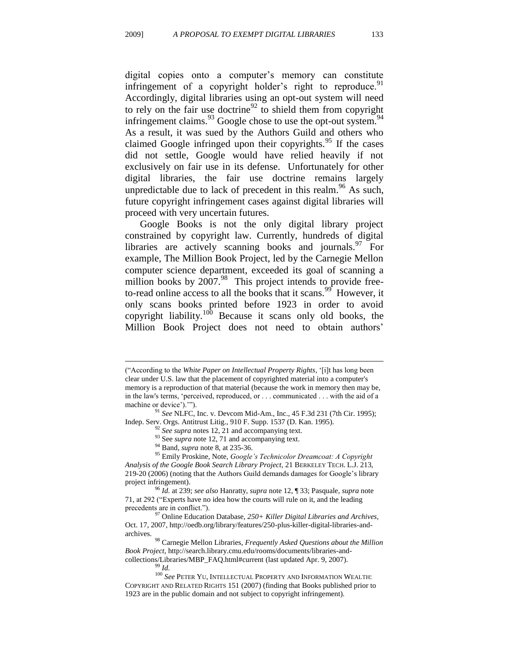digital copies onto a computer's memory can constitute infringement of a copyright holder's right to reproduce.<sup>91</sup> Accordingly, digital libraries using an opt-out system will need to rely on the fair use doctrine<sup>92</sup> to shield them from copyright infringement claims.  $^{93}$  Google chose to use the opt-out system.  $^{94}$ As a result, it was sued by the Authors Guild and others who claimed Google infringed upon their copyrights. $95$  If the cases did not settle, Google would have relied heavily if not exclusively on fair use in its defense. Unfortunately for other digital libraries, the fair use doctrine remains largely unpredictable due to lack of precedent in this realm.<sup>96</sup> As such, future copyright infringement cases against digital libraries will proceed with very uncertain futures.

Google Books is not the only digital library project constrained by copyright law. Currently, hundreds of digital libraries are actively scanning books and journals. $97$  For example, The Million Book Project, led by the Carnegie Mellon computer science department, exceeded its goal of scanning a million books by  $2007.^{98}$  This project intends to provide freeto-read online access to all the books that it scans.<sup>99</sup> However, it only scans books printed before 1923 in order to avoid copyright liability.<sup>100</sup> Because it scans only old books, the Million Book Project does not need to obtain authors'

<sup>92</sup> See supra notes 12, 21 and accompanying text.

<sup>(―</sup>According to the *White Paper on Intellectual Property Rights*, ‗[i]t has long been clear under U.S. law that the placement of copyrighted material into a computer's memory is a reproduction of that material (because the work in memory then may be, in the law's terms, 'perceived, reproduced, or . . . communicated . . . with the aid of a machine or device')."").

<sup>91</sup> *See* NLFC, Inc. v. Devcom Mid-Am., Inc., 45 F.3d 231 (7th Cir. 1995); Indep. Serv. Orgs. Antitrust Litig., 910 F. Supp. 1537 (D. Kan. 1995).

<sup>&</sup>lt;sup>93</sup> See *supra* note 12, 71 and accompanying text.

<sup>94</sup> Band, *supra* note 8, at 235-36.

<sup>95</sup> Emily Proskine, Note, *Google's Technicolor Dreamcoat: A Copyright Analysis of the Google Book Search Library Project,* 21 BERKELEY TECH. L.J. 213, 219-20 (2006) (noting that the Authors Guild demands damages for Google's library project infringement).

<sup>96</sup> *Id.* at 239; *see also* Hanratty, *supra* note 12, ¶ 33; Pasquale, *supra* note 71, at 292 ("Experts have no idea how the courts will rule on it, and the leading precedents are in conflict.").

<sup>97</sup> Online Education Database, *250+ Killer Digital Libraries and Archives,*  Oct. 17, 2007, http://oedb.org/library/features/250-plus-killer-digital-libraries-andarchives.

<sup>98</sup> Carnegie Mellon Libraries, *Frequently Asked Questions about the Million Book Project*, http://search.library.cmu.edu/rooms/documents/libraries-andcollections/Libraries/MBP\_FAQ.html#current (last updated Apr. 9, 2007).

<sup>99</sup> *Id.*

<sup>&</sup>lt;sup>100</sup> See PETER YU, INTELLECTUAL PROPERTY AND INFORMATION WEALTH: COPYRIGHT AND RELATED RIGHTS 151 (2007) (finding that Books published prior to 1923 are in the public domain and not subject to copyright infringement).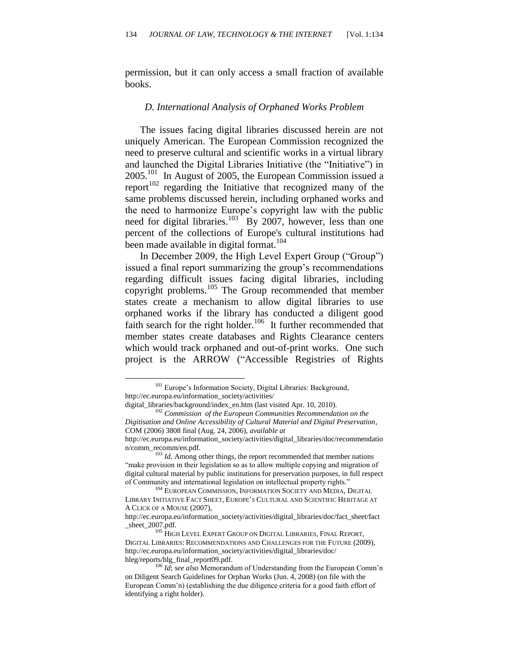permission, but it can only access a small fraction of available books.

#### *D. International Analysis of Orphaned Works Problem*

The issues facing digital libraries discussed herein are not uniquely American. The European Commission recognized the need to preserve cultural and scientific works in a virtual library and launched the Digital Libraries Initiative (the "Initiative") in 2005.<sup>101</sup> In August of 2005, the European Commission issued a  $report^{102}$  regarding the Initiative that recognized many of the same problems discussed herein, including orphaned works and the need to harmonize Europe's copyright law with the public need for digital libraries. $103$  By 2007, however, less than one percent of the collections of Europe's cultural institutions had been made available in digital format.<sup>104</sup>

In December 2009, the High Level Expert Group ("Group") issued a final report summarizing the group's recommendations regarding difficult issues facing digital libraries, including copyright problems.<sup>105</sup> The Group recommended that member states create a mechanism to allow digital libraries to use orphaned works if the library has conducted a diligent good faith search for the right holder.<sup>106</sup> It further recommended that member states create databases and Rights Clearance centers which would track orphaned and out-of-print works. One such project is the ARROW ("Accessible Registries of Rights

<sup>&</sup>lt;sup>101</sup> Europe's Information Society, Digital Libraries: Background, http://ec.europa.eu/information\_society/activities/

digital\_libraries/background/index\_en.htm (last visited Apr. 10, 2010).

<sup>102</sup> *Commission of the European Communities Recommendation on the Digitisation and Online Accessibility of Cultural Material and Digital Preservation*, COM (2006) 3808 final (Aug. 24, 2006), *available at*

http://ec.europa.eu/information\_society/activities/digital\_libraries/doc/recommendatio n/comm\_recomm/en.pdf.

<sup>&</sup>lt;sup>103</sup> *Id.* Among other things, the report recommended that member nations "make provision in their legislation so as to allow multiple copying and migration of digital cultural material by public institutions for preservation purposes, in full respect of Community and international legislation on intellectual property rights."

<sup>&</sup>lt;sup>104</sup> EUROPEAN COMMISSION, INFORMATION SOCIETY AND MEDIA, DIGITAL LIBRARY INITIATIVE FACT SHEET, EUROPE'S CULTURAL AND SCIENTIFIC HERITAGE AT A CLICK OF A MOUSE (2007),

http://ec.europa.eu/information\_society/activities/digital\_libraries/doc/fact\_sheet/fact \_sheet\_2007.pdf.

<sup>&</sup>lt;sup>105</sup> HIGH LEVEL EXPERT GROUP ON DIGITAL LIBRARIES, FINAL REPORT, DIGITAL LIBRARIES: RECOMMENDATIONS AND CHALLENGES FOR THE FUTURE (2009), http://ec.europa.eu/information\_society/activities/digital\_libraries/doc/ hleg/reports/hlg\_final\_report09.pdf.

<sup>106</sup> *Id*; *see also* Memorandum of Understanding from the European Comm'n on Diligent Search Guidelines for Orphan Works (Jun. 4, 2008) (on file with the European Comm'n) (establishing the due diligence criteria for a good faith effort of identifying a right holder).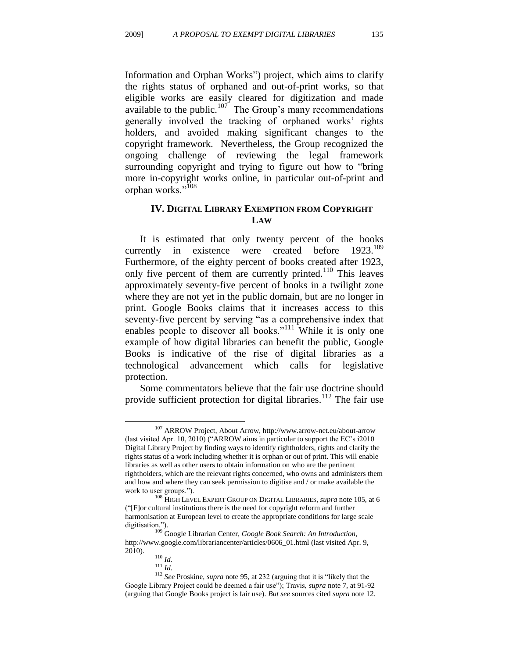Information and Orphan Works") project, which aims to clarify the rights status of orphaned and out-of-print works, so that eligible works are easily cleared for digitization and made available to the public.<sup>107</sup> The Group's many recommendations generally involved the tracking of orphaned works' rights holders, and avoided making significant changes to the copyright framework. Nevertheless, the Group recognized the ongoing challenge of reviewing the legal framework surrounding copyright and trying to figure out how to "bring" more in-copyright works online, in particular out-of-print and orphan works."<sup>108</sup>

#### **IV. DIGITAL LIBRARY EXEMPTION FROM COPYRIGHT LAW**

It is estimated that only twenty percent of the books currently in existence were created before  $1923^{109}$ Furthermore, of the eighty percent of books created after 1923, only five percent of them are currently printed.<sup>110</sup> This leaves approximately seventy-five percent of books in a twilight zone where they are not yet in the public domain, but are no longer in print. Google Books claims that it increases access to this seventy-five percent by serving "as a comprehensive index that enables people to discover all books." $111$  While it is only one example of how digital libraries can benefit the public, Google Books is indicative of the rise of digital libraries as a technological advancement which calls for legislative protection.

Some commentators believe that the fair use doctrine should provide sufficient protection for digital libraries.<sup>112</sup> The fair use

<sup>107</sup> ARROW Project, About Arrow, http://www.arrow-net.eu/about-arrow (last visited Apr. 10, 2010) ("ARROW aims in particular to support the EC's i2010 Digital Library Project by finding ways to identify rightholders, rights and clarify the rights status of a work including whether it is orphan or out of print. This will enable libraries as well as other users to obtain information on who are the pertinent rightholders, which are the relevant rights concerned, who owns and administers them and how and where they can seek permission to digitise and / or make available the work to user groups.").

<sup>108</sup> HIGH LEVEL EXPERT GROUP ON DIGITAL LIBRARIES, *supra* note 105, at 6 (―[F]or cultural institutions there is the need for copyright reform and further harmonisation at European level to create the appropriate conditions for large scale digitisation.").

<sup>109</sup> Google Librarian Center, *Google Book Search: An Introduction*, http://www.google.com/librariancenter/articles/0606\_01.html (last visited Apr. 9, 2010).

<sup>110</sup> *Id.*

<sup>111</sup> *Id.*

<sup>&</sup>lt;sup>112</sup> *See* Proskine, *supra* note 95, at 232 (arguing that it is "likely that the Google Library Project could be deemed a fair use"); Travis, *supra* note 7, at 91-92 (arguing that Google Books project is fair use). *But see* sources cited *supra* note 12.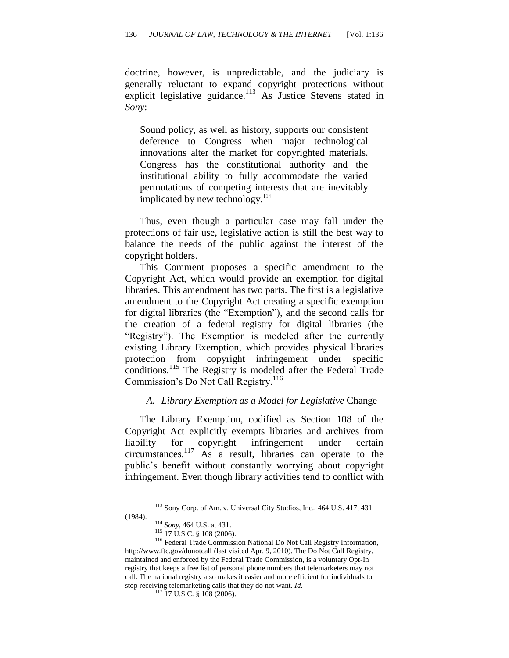doctrine, however, is unpredictable, and the judiciary is generally reluctant to expand copyright protections without explicit legislative guidance.<sup>113</sup> As Justice Stevens stated in *Sony*:

Sound policy, as well as history, supports our consistent deference to Congress when major technological innovations alter the market for copyrighted materials. Congress has the constitutional authority and the institutional ability to fully accommodate the varied permutations of competing interests that are inevitably implicated by new technology. $114$ 

Thus, even though a particular case may fall under the protections of fair use, legislative action is still the best way to balance the needs of the public against the interest of the copyright holders.

This Comment proposes a specific amendment to the Copyright Act, which would provide an exemption for digital libraries. This amendment has two parts. The first is a legislative amendment to the Copyright Act creating a specific exemption for digital libraries (the "Exemption"), and the second calls for the creation of a federal registry for digital libraries (the "Registry"). The Exemption is modeled after the currently existing Library Exemption, which provides physical libraries protection from copyright infringement under specific conditions.<sup>115</sup> The Registry is modeled after the Federal Trade Commission's Do Not Call Registry.<sup>116</sup>

#### *A. Library Exemption as a Model for Legislative* Change

The Library Exemption, codified as Section 108 of the Copyright Act explicitly exempts libraries and archives from liability for copyright infringement under certain circumstances.<sup>117</sup> As a result, libraries can operate to the public's benefit without constantly worrying about copyright infringement. Even though library activities tend to conflict with

<sup>113</sup> Sony Corp. of Am. v. Universal City Studios, Inc., 464 U.S. 417, 431 (1984).

<sup>114</sup> *Sony*, 464 U.S. at 431.

<sup>115</sup> 17 U.S.C. § 108 (2006).

<sup>116</sup> Federal Trade Commission National Do Not Call Registry Information, http://www.ftc.gov/donotcall (last visited Apr. 9, 2010). The Do Not Call Registry, maintained and enforced by the Federal Trade Commission, is a voluntary Opt-In registry that keeps a free list of personal phone numbers that telemarketers may not call. The national registry also makes it easier and more efficient for individuals to stop receiving telemarketing calls that they do not want. *Id.*

<sup>&</sup>lt;sup>117</sup> 17 U.S.C. § 108 (2006).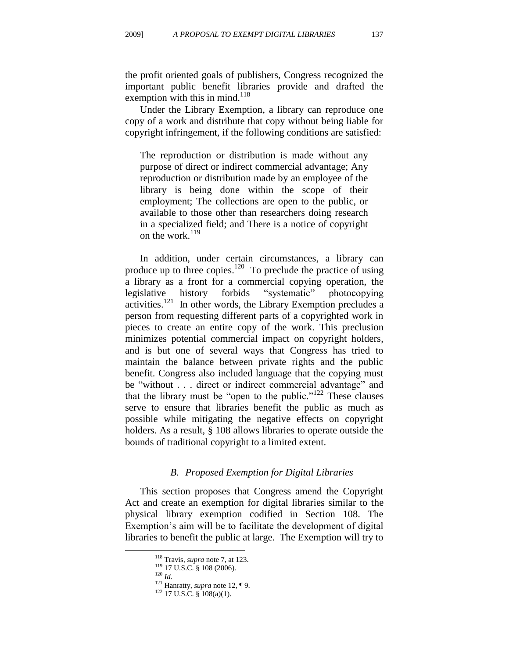the profit oriented goals of publishers, Congress recognized the important public benefit libraries provide and drafted the exemption with this in mind.<sup>118</sup>

Under the Library Exemption, a library can reproduce one copy of a work and distribute that copy without being liable for copyright infringement, if the following conditions are satisfied:

The reproduction or distribution is made without any purpose of direct or indirect commercial advantage; Any reproduction or distribution made by an employee of the library is being done within the scope of their employment; The collections are open to the public, or available to those other than researchers doing research in a specialized field; and There is a notice of copyright on the work. $119$ 

In addition, under certain circumstances, a library can produce up to three copies.<sup>120</sup> To preclude the practice of using a library as a front for a commercial copying operation, the legislative history forbids "systematic" photocopying activities.<sup>121</sup> In other words, the Library Exemption precludes a person from requesting different parts of a copyrighted work in pieces to create an entire copy of the work. This preclusion minimizes potential commercial impact on copyright holders, and is but one of several ways that Congress has tried to maintain the balance between private rights and the public benefit. Congress also included language that the copying must be "without . . . direct or indirect commercial advantage" and that the library must be "open to the public."<sup>122</sup> These clauses serve to ensure that libraries benefit the public as much as possible while mitigating the negative effects on copyright holders. As a result, § 108 allows libraries to operate outside the bounds of traditional copyright to a limited extent.

#### *B. Proposed Exemption for Digital Libraries*

This section proposes that Congress amend the Copyright Act and create an exemption for digital libraries similar to the physical library exemption codified in Section 108. The Exemption's aim will be to facilitate the development of digital libraries to benefit the public at large. The Exemption will try to

<sup>120</sup> *Id.*

<sup>118</sup> Travis, *supra* note 7, at 123.

<sup>119</sup> 17 U.S.C. § 108 (2006).

<sup>&</sup>lt;sup>121</sup> Hanratty, *supra* note 12, ¶ 9.

<sup>122</sup> 17 U.S.C. § 108(a)(1).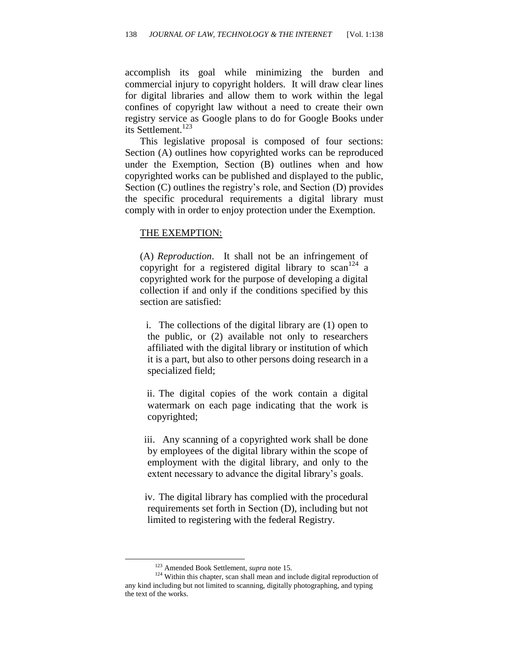accomplish its goal while minimizing the burden and commercial injury to copyright holders. It will draw clear lines for digital libraries and allow them to work within the legal confines of copyright law without a need to create their own registry service as Google plans to do for Google Books under its Settlement.<sup>123</sup>

This legislative proposal is composed of four sections: Section (A) outlines how copyrighted works can be reproduced under the Exemption, Section (B) outlines when and how copyrighted works can be published and displayed to the public, Section (C) outlines the registry's role, and Section (D) provides the specific procedural requirements a digital library must comply with in order to enjoy protection under the Exemption.

#### THE EXEMPTION:

(A) *Reproduction*. It shall not be an infringement of copyright for a registered digital library to  $scan^{124}$  a copyrighted work for the purpose of developing a digital collection if and only if the conditions specified by this section are satisfied:

i. The collections of the digital library are (1) open to the public, or (2) available not only to researchers affiliated with the digital library or institution of which it is a part, but also to other persons doing research in a specialized field;

ii. The digital copies of the work contain a digital watermark on each page indicating that the work is copyrighted;

iii. Any scanning of a copyrighted work shall be done by employees of the digital library within the scope of employment with the digital library, and only to the extent necessary to advance the digital library's goals.

iv. The digital library has complied with the procedural requirements set forth in Section (D), including but not limited to registering with the federal Registry.

<sup>123</sup> Amended Book Settlement, *supra* note 15.

<sup>&</sup>lt;sup>124</sup> Within this chapter, scan shall mean and include digital reproduction of any kind including but not limited to scanning, digitally photographing, and typing the text of the works.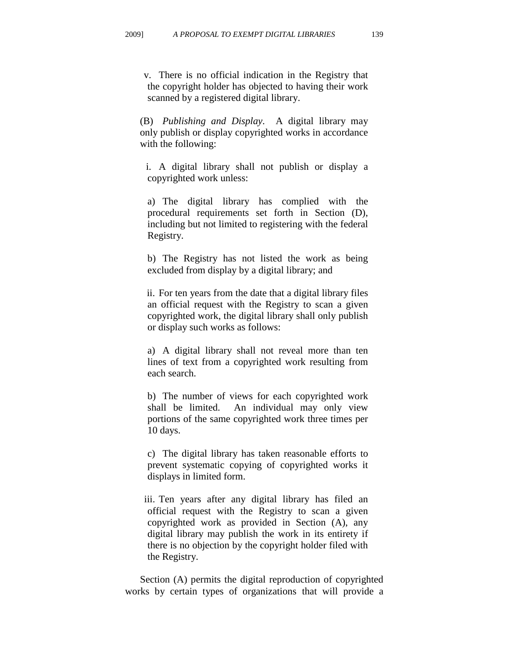v. There is no official indication in the Registry that the copyright holder has objected to having their work scanned by a registered digital library.

(B) *Publishing and Display*. A digital library may only publish or display copyrighted works in accordance with the following:

i. A digital library shall not publish or display a copyrighted work unless:

a) The digital library has complied with the procedural requirements set forth in Section (D), including but not limited to registering with the federal Registry.

b) The Registry has not listed the work as being excluded from display by a digital library; and

ii. For ten years from the date that a digital library files an official request with the Registry to scan a given copyrighted work, the digital library shall only publish or display such works as follows:

a) A digital library shall not reveal more than ten lines of text from a copyrighted work resulting from each search.

b) The number of views for each copyrighted work shall be limited. An individual may only view portions of the same copyrighted work three times per 10 days.

c) The digital library has taken reasonable efforts to prevent systematic copying of copyrighted works it displays in limited form.

iii. Ten years after any digital library has filed an official request with the Registry to scan a given copyrighted work as provided in Section (A), any digital library may publish the work in its entirety if there is no objection by the copyright holder filed with the Registry.

Section (A) permits the digital reproduction of copyrighted works by certain types of organizations that will provide a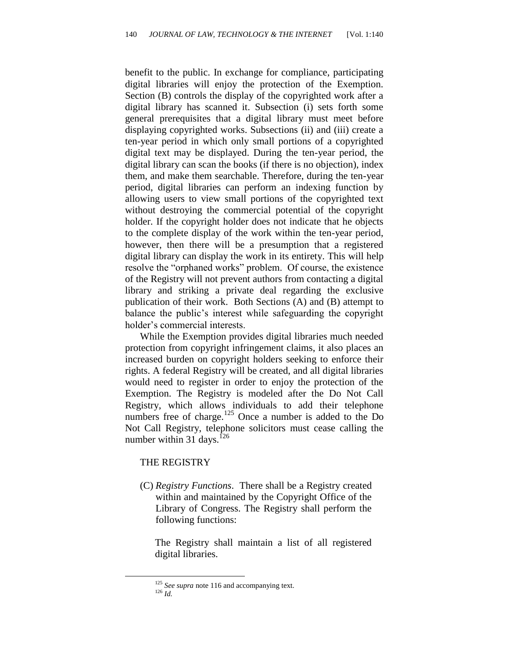benefit to the public. In exchange for compliance, participating digital libraries will enjoy the protection of the Exemption. Section (B) controls the display of the copyrighted work after a digital library has scanned it. Subsection (i) sets forth some general prerequisites that a digital library must meet before displaying copyrighted works. Subsections (ii) and (iii) create a ten-year period in which only small portions of a copyrighted digital text may be displayed. During the ten-year period, the digital library can scan the books (if there is no objection), index them, and make them searchable. Therefore, during the ten-year period, digital libraries can perform an indexing function by allowing users to view small portions of the copyrighted text without destroying the commercial potential of the copyright holder. If the copyright holder does not indicate that he objects to the complete display of the work within the ten-year period, however, then there will be a presumption that a registered digital library can display the work in its entirety. This will help resolve the "orphaned works" problem. Of course, the existence of the Registry will not prevent authors from contacting a digital library and striking a private deal regarding the exclusive publication of their work. Both Sections (A) and (B) attempt to balance the public's interest while safeguarding the copyright holder's commercial interests.

While the Exemption provides digital libraries much needed protection from copyright infringement claims, it also places an increased burden on copyright holders seeking to enforce their rights. A federal Registry will be created, and all digital libraries would need to register in order to enjoy the protection of the Exemption. The Registry is modeled after the Do Not Call Registry, which allows individuals to add their telephone numbers free of charge.<sup>125</sup> Once a number is added to the Do Not Call Registry, telephone solicitors must cease calling the number within 31 days.<sup>126</sup>

#### THE REGISTRY

(C) *Registry Functions*. There shall be a Registry created within and maintained by the Copyright Office of the Library of Congress. The Registry shall perform the following functions:

The Registry shall maintain a list of all registered digital libraries.

<sup>&</sup>lt;sup>125</sup> See supra note 116 and accompanying text. <sup>126</sup> *Id.*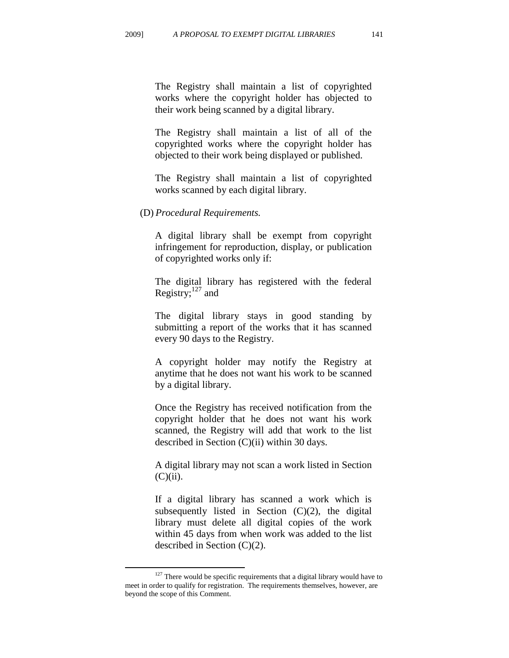The Registry shall maintain a list of copyrighted works where the copyright holder has objected to their work being scanned by a digital library.

The Registry shall maintain a list of all of the copyrighted works where the copyright holder has objected to their work being displayed or published.

The Registry shall maintain a list of copyrighted works scanned by each digital library.

(D) *Procedural Requirements.* 

A digital library shall be exempt from copyright infringement for reproduction, display, or publication of copyrighted works only if:

The digital library has registered with the federal Registry; $^{127}$  and

The digital library stays in good standing by submitting a report of the works that it has scanned every 90 days to the Registry.

A copyright holder may notify the Registry at anytime that he does not want his work to be scanned by a digital library.

Once the Registry has received notification from the copyright holder that he does not want his work scanned, the Registry will add that work to the list described in Section (C)(ii) within 30 days.

A digital library may not scan a work listed in Section  $(C)(ii)$ .

If a digital library has scanned a work which is subsequently listed in Section  $(C)(2)$ , the digital library must delete all digital copies of the work within 45 days from when work was added to the list described in Section (C)(2).

<sup>&</sup>lt;sup>127</sup> There would be specific requirements that a digital library would have to meet in order to qualify for registration. The requirements themselves, however, are beyond the scope of this Comment.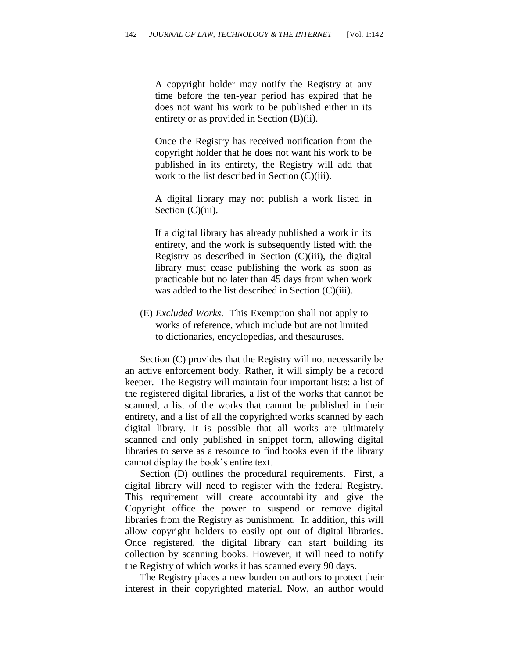A copyright holder may notify the Registry at any time before the ten-year period has expired that he does not want his work to be published either in its entirety or as provided in Section (B)(ii).

Once the Registry has received notification from the copyright holder that he does not want his work to be published in its entirety, the Registry will add that work to the list described in Section (C)(iii).

A digital library may not publish a work listed in Section (C)(iii).

If a digital library has already published a work in its entirety, and the work is subsequently listed with the Registry as described in Section  $(C)(iii)$ , the digital library must cease publishing the work as soon as practicable but no later than 45 days from when work was added to the list described in Section (C)(iii).

(E) *Excluded Works*. This Exemption shall not apply to works of reference, which include but are not limited to dictionaries, encyclopedias, and thesauruses.

Section (C) provides that the Registry will not necessarily be an active enforcement body. Rather, it will simply be a record keeper. The Registry will maintain four important lists: a list of the registered digital libraries, a list of the works that cannot be scanned, a list of the works that cannot be published in their entirety, and a list of all the copyrighted works scanned by each digital library. It is possible that all works are ultimately scanned and only published in snippet form, allowing digital libraries to serve as a resource to find books even if the library cannot display the book's entire text.

Section (D) outlines the procedural requirements. First, a digital library will need to register with the federal Registry. This requirement will create accountability and give the Copyright office the power to suspend or remove digital libraries from the Registry as punishment. In addition, this will allow copyright holders to easily opt out of digital libraries. Once registered, the digital library can start building its collection by scanning books. However, it will need to notify the Registry of which works it has scanned every 90 days.

The Registry places a new burden on authors to protect their interest in their copyrighted material. Now, an author would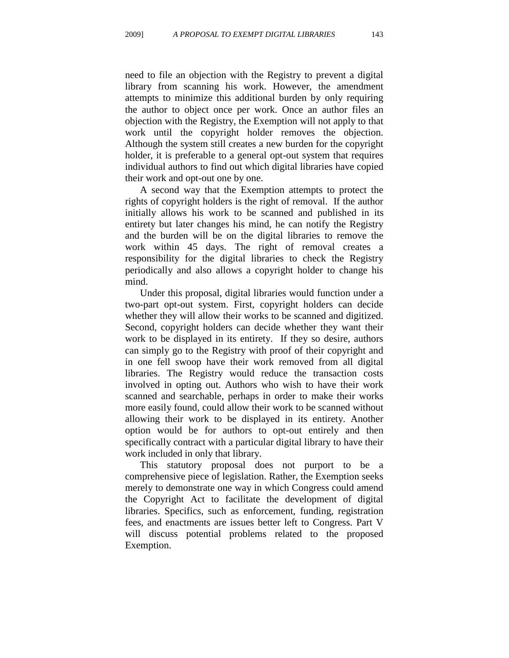need to file an objection with the Registry to prevent a digital library from scanning his work. However, the amendment attempts to minimize this additional burden by only requiring the author to object once per work. Once an author files an objection with the Registry, the Exemption will not apply to that work until the copyright holder removes the objection. Although the system still creates a new burden for the copyright holder, it is preferable to a general opt-out system that requires individual authors to find out which digital libraries have copied their work and opt-out one by one.

A second way that the Exemption attempts to protect the rights of copyright holders is the right of removal. If the author initially allows his work to be scanned and published in its entirety but later changes his mind, he can notify the Registry and the burden will be on the digital libraries to remove the work within 45 days. The right of removal creates a responsibility for the digital libraries to check the Registry periodically and also allows a copyright holder to change his mind.

Under this proposal, digital libraries would function under a two-part opt-out system. First, copyright holders can decide whether they will allow their works to be scanned and digitized. Second, copyright holders can decide whether they want their work to be displayed in its entirety. If they so desire, authors can simply go to the Registry with proof of their copyright and in one fell swoop have their work removed from all digital libraries. The Registry would reduce the transaction costs involved in opting out. Authors who wish to have their work scanned and searchable, perhaps in order to make their works more easily found, could allow their work to be scanned without allowing their work to be displayed in its entirety. Another option would be for authors to opt-out entirely and then specifically contract with a particular digital library to have their work included in only that library.

This statutory proposal does not purport to be a comprehensive piece of legislation. Rather, the Exemption seeks merely to demonstrate one way in which Congress could amend the Copyright Act to facilitate the development of digital libraries. Specifics, such as enforcement, funding, registration fees, and enactments are issues better left to Congress. Part V will discuss potential problems related to the proposed Exemption.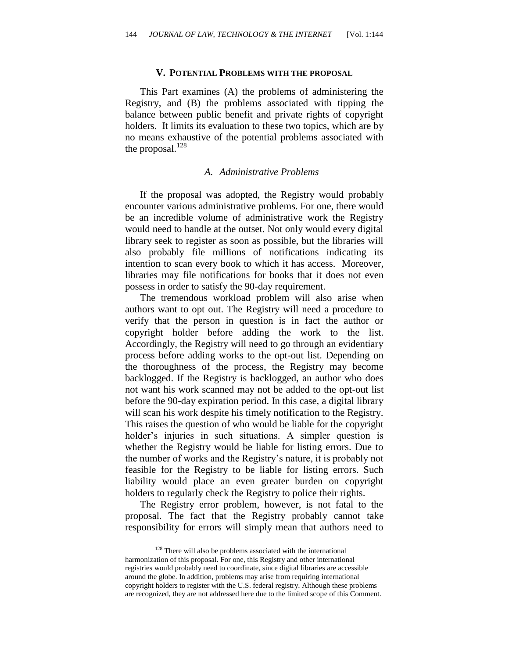#### **V. POTENTIAL PROBLEMS WITH THE PROPOSAL**

This Part examines (A) the problems of administering the Registry, and (B) the problems associated with tipping the balance between public benefit and private rights of copyright holders. It limits its evaluation to these two topics, which are by no means exhaustive of the potential problems associated with the proposal. $128$ 

#### *A. Administrative Problems*

If the proposal was adopted, the Registry would probably encounter various administrative problems. For one, there would be an incredible volume of administrative work the Registry would need to handle at the outset. Not only would every digital library seek to register as soon as possible, but the libraries will also probably file millions of notifications indicating its intention to scan every book to which it has access. Moreover, libraries may file notifications for books that it does not even possess in order to satisfy the 90-day requirement.

The tremendous workload problem will also arise when authors want to opt out. The Registry will need a procedure to verify that the person in question is in fact the author or copyright holder before adding the work to the list. Accordingly, the Registry will need to go through an evidentiary process before adding works to the opt-out list. Depending on the thoroughness of the process, the Registry may become backlogged. If the Registry is backlogged, an author who does not want his work scanned may not be added to the opt-out list before the 90-day expiration period. In this case, a digital library will scan his work despite his timely notification to the Registry. This raises the question of who would be liable for the copyright holder's injuries in such situations. A simpler question is whether the Registry would be liable for listing errors. Due to the number of works and the Registry's nature, it is probably not feasible for the Registry to be liable for listing errors. Such liability would place an even greater burden on copyright holders to regularly check the Registry to police their rights.

The Registry error problem, however, is not fatal to the proposal. The fact that the Registry probably cannot take responsibility for errors will simply mean that authors need to

 $128$  There will also be problems associated with the international harmonization of this proposal. For one, this Registry and other international registries would probably need to coordinate, since digital libraries are accessible around the globe. In addition, problems may arise from requiring international copyright holders to register with the U.S. federal registry. Although these problems are recognized, they are not addressed here due to the limited scope of this Comment.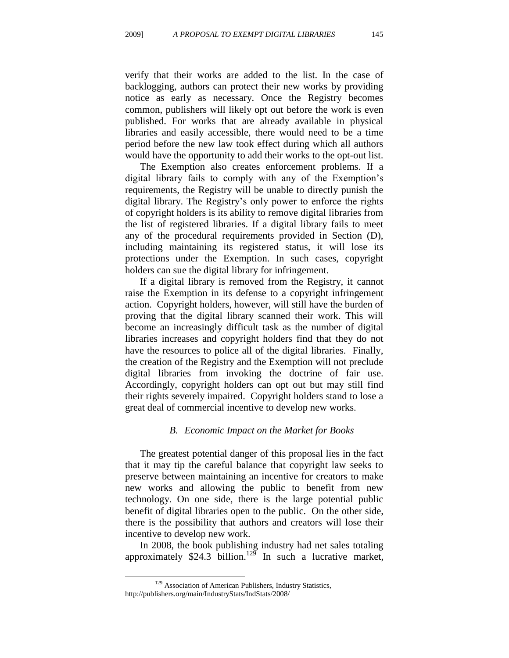verify that their works are added to the list. In the case of backlogging, authors can protect their new works by providing notice as early as necessary. Once the Registry becomes common, publishers will likely opt out before the work is even published. For works that are already available in physical libraries and easily accessible, there would need to be a time period before the new law took effect during which all authors would have the opportunity to add their works to the opt-out list.

The Exemption also creates enforcement problems. If a digital library fails to comply with any of the Exemption's requirements, the Registry will be unable to directly punish the digital library. The Registry's only power to enforce the rights of copyright holders is its ability to remove digital libraries from the list of registered libraries. If a digital library fails to meet any of the procedural requirements provided in Section (D), including maintaining its registered status, it will lose its protections under the Exemption. In such cases, copyright holders can sue the digital library for infringement.

If a digital library is removed from the Registry, it cannot raise the Exemption in its defense to a copyright infringement action. Copyright holders, however, will still have the burden of proving that the digital library scanned their work. This will become an increasingly difficult task as the number of digital libraries increases and copyright holders find that they do not have the resources to police all of the digital libraries. Finally, the creation of the Registry and the Exemption will not preclude digital libraries from invoking the doctrine of fair use. Accordingly, copyright holders can opt out but may still find their rights severely impaired. Copyright holders stand to lose a great deal of commercial incentive to develop new works.

#### *B. Economic Impact on the Market for Books*

The greatest potential danger of this proposal lies in the fact that it may tip the careful balance that copyright law seeks to preserve between maintaining an incentive for creators to make new works and allowing the public to benefit from new technology. On one side, there is the large potential public benefit of digital libraries open to the public. On the other side, there is the possibility that authors and creators will lose their incentive to develop new work.

In 2008, the book publishing industry had net sales totaling approximately  $$24.3$  billion.<sup>129</sup> In such a lucrative market,

<sup>&</sup>lt;sup>129</sup> Association of American Publishers, Industry Statistics, http://publishers.org/main/IndustryStats/IndStats/2008/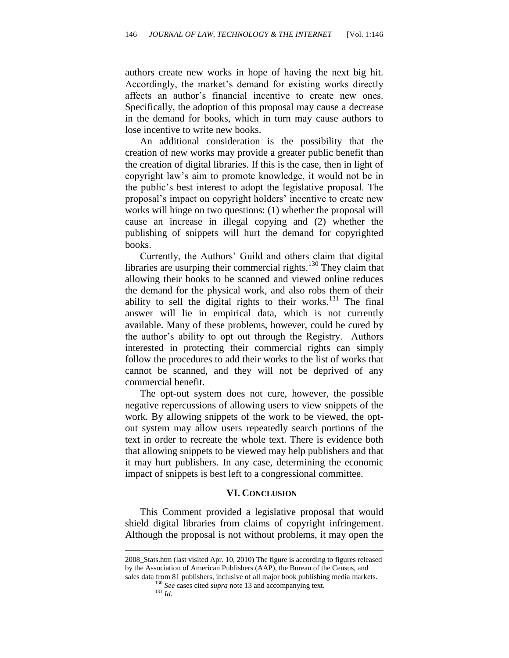authors create new works in hope of having the next big hit. Accordingly, the market's demand for existing works directly affects an author's financial incentive to create new ones. Specifically, the adoption of this proposal may cause a decrease in the demand for books, which in turn may cause authors to lose incentive to write new books.

An additional consideration is the possibility that the creation of new works may provide a greater public benefit than the creation of digital libraries. If this is the case, then in light of copyright law's aim to promote knowledge, it would not be in the public's best interest to adopt the legislative proposal. The proposal's impact on copyright holders' incentive to create new works will hinge on two questions: (1) whether the proposal will cause an increase in illegal copying and (2) whether the publishing of snippets will hurt the demand for copyrighted books.

Currently, the Authors' Guild and others claim that digital libraries are usurping their commercial rights.<sup>130</sup> They claim that allowing their books to be scanned and viewed online reduces the demand for the physical work, and also robs them of their ability to sell the digital rights to their works. $131$  The final answer will lie in empirical data, which is not currently available. Many of these problems, however, could be cured by the author's ability to opt out through the Registry. Authors interested in protecting their commercial rights can simply follow the procedures to add their works to the list of works that cannot be scanned, and they will not be deprived of any commercial benefit.

The opt-out system does not cure, however, the possible negative repercussions of allowing users to view snippets of the work. By allowing snippets of the work to be viewed, the optout system may allow users repeatedly search portions of the text in order to recreate the whole text. There is evidence both that allowing snippets to be viewed may help publishers and that it may hurt publishers. In any case, determining the economic impact of snippets is best left to a congressional committee.

#### **VI. CONCLUSION**

This Comment provided a legislative proposal that would shield digital libraries from claims of copyright infringement. Although the proposal is not without problems, it may open the

<sup>2008</sup>\_Stats.htm (last visited Apr. 10, 2010) The figure is according to figures released by the Association of American Publishers (AAP), the Bureau of the Census, and sales data from 81 publishers, inclusive of all major book publishing media markets.

<sup>130</sup> *See* cases cited *supra* note 13 and accompanying text.

<sup>131</sup> *Id.*